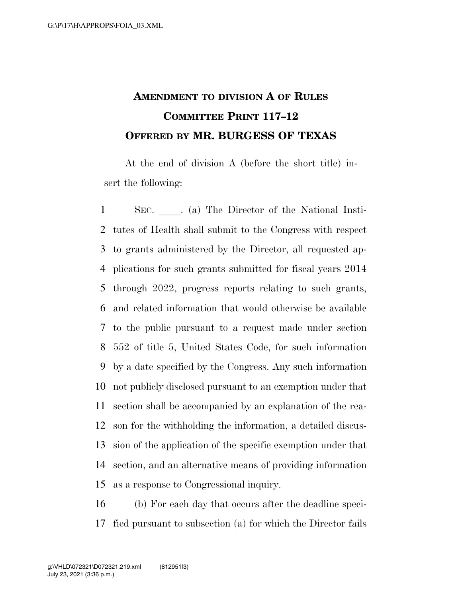## **AMENDMENT TO DIVISION A OF RULES COMMITTEE PRINT 117–12 OFFERED BY MR. BURGESS OF TEXAS**

At the end of division A (before the short title) insert the following:

1 SEC. a) The Director of the National Insti- tutes of Health shall submit to the Congress with respect to grants administered by the Director, all requested ap- plications for such grants submitted for fiscal years 2014 through 2022, progress reports relating to such grants, and related information that would otherwise be available to the public pursuant to a request made under section 552 of title 5, United States Code, for such information by a date specified by the Congress. Any such information not publicly disclosed pursuant to an exemption under that section shall be accompanied by an explanation of the rea- son for the withholding the information, a detailed discus- sion of the application of the specific exemption under that section, and an alternative means of providing information as a response to Congressional inquiry.

 (b) For each day that occurs after the deadline speci-fied pursuant to subsection (a) for which the Director fails